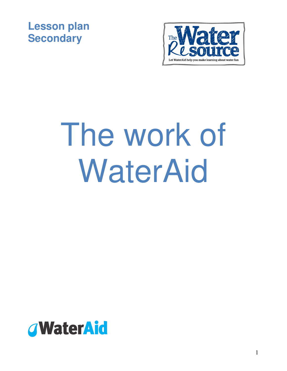



# The work of **WaterAid**

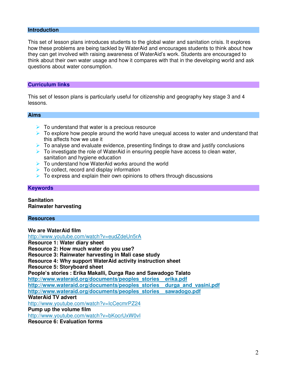#### **Introduction**

This set of lesson plans introduces students to the global water and sanitation crisis. It explores how these problems are being tackled by WaterAid and encourages students to think about how they can get involved with raising awareness of WaterAid's work. Students are encouraged to think about their own water usage and how it compares with that in the developing world and ask questions about water consumption.

#### **Curriculum links**

This set of lesson plans is particularly useful for citizenship and geography key stage 3 and 4 lessons.

**Aims**

- $\triangleright$  To understand that water is a precious resource
- $\triangleright$  To explore how people around the world have unequal access to water and understand that this affects how we use it
- $\triangleright$  To analyse and evaluate evidence, presenting findings to draw and justify conclusions
- $\triangleright$  To investigate the role of WaterAid in ensuring people have access to clean water, sanitation and hygiene education
- $\triangleright$  To understand how WaterAid works around the world
- $\triangleright$  To collect, record and display information
- $\triangleright$  To express and explain their own opinions to others through discussions

#### **Keywords**

**Sanitation Rainwater harvesting**

#### **Resources**

**We are WaterAid film** http://www.youtube.com/watch?v=eudZdeUn5rA **Resource 1: Water diary sheet Resource 2: How much water do you use? Resource 3: Rainwater harvesting in Mali case study Resource 4: Why support WaterAid activity instruction sheet Resource 5: Storyboard sheet People's stories : Erika Makalli, Durga Rao and Sawadogo Talato http://www.wateraid.org/documents/peoples\_stories\_\_erika.pdf http://www.wateraid.org/documents/peoples\_stories\_\_durga\_and\_vasini.pdf http://www.wateraid.org/documents/peoples\_stories\_\_sawadogo.pdf WaterAid TV advert** http://www.youtube.com/watch?v=IcCecmrPZ24 **Pump up the volume film** http://www.youtube.com/watch?v=bKocrUxW0vI **Resource 6: Evaluation forms**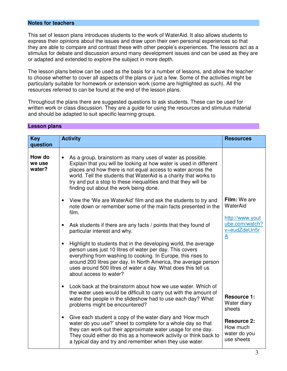#### **Notes for teachers**

This set of lesson plans introduces students to the work of WaterAid. It also allows students to express their opinions about the issues and draw upon their own personal experiences so that they are able to compare and contrast these with other people's experiences. The lessons act as a stimulus for debate and discussion around many development issues and can be used as they are or adapted and extended to explore the subject in more depth.

The lesson plans below can be used as the basis for a number of lessons, and allow the teacher to choose whether to cover all aspects of the plans or just a few. Some of the activities might be particularly suitable for homework or extension work (some are highlighted as such). All the resources referred to can be found at the end of the lesson plans.

Throughout the plans there are suggested questions to ask students. These can be used for written work or class discussion. They are a guide for using the resources and stimulus material and should be adapted to suit specific learning groups.

| <b>Key</b>                 | <b>Activity</b>                                                                                                                                                                                                                                                                                                                                                                  | <b>Resources</b>                                             |
|----------------------------|----------------------------------------------------------------------------------------------------------------------------------------------------------------------------------------------------------------------------------------------------------------------------------------------------------------------------------------------------------------------------------|--------------------------------------------------------------|
| question                   |                                                                                                                                                                                                                                                                                                                                                                                  |                                                              |
| How do<br>we use<br>water? | As a group, brainstorm as many uses of water as possible.<br>Explain that you will be looking at how water is used in different<br>places and how there is not equal access to water across the<br>world. Tell the students that WaterAid is a charity that works to<br>try and put a stop to these inequalities and that they will be<br>finding out about the work being done. |                                                              |
|                            | View the 'We are WaterAid' film and ask the students to try and<br>note down or remember some of the main facts presented in the<br>film.                                                                                                                                                                                                                                        | Film: We are<br>WaterAid<br>http://www.yout                  |
|                            | Ask students if there are any facts / points that they found of<br>$\bullet$<br>particular interest and why.                                                                                                                                                                                                                                                                     | ube.com/watch?<br>v=eudZdeUn5r<br>A                          |
|                            | Highlight to students that in the developing world, the average<br>person uses just 10 litres of water per day. This covers<br>everything from washing to cooking. In Europe, this rises to<br>around 200 litres per day. In North America, the average person<br>uses around 500 litres of water a day. What does this tell us<br>about access to water?                        |                                                              |
|                            | Look back at the brainstorm about how we use water. Which of<br>the water uses would be difficult to carry out with the amount of<br>water the people in the slideshow had to use each day? What<br>problems might be encountered?                                                                                                                                               | <b>Resource 1:</b><br>Water diary<br>sheets                  |
|                            | Give each student a copy of the water diary and 'How much<br>$\bullet$<br>water do you use?' sheet to complete for a whole day so that<br>they can work out their approximate water usage for one day.<br>They could either do this as a homework activity or think back to<br>a typical day and try and remember when they use water.                                           | <b>Resource 2:</b><br>How much<br>water do you<br>use sheets |

### **Lesson plans**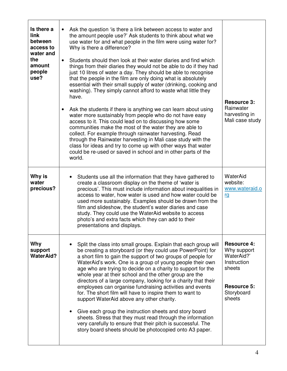| Is there a<br><b>link</b><br>between<br>access to<br>water and<br>the<br>amount<br>people<br>use? | Ask the question 'is there a link between access to water and<br>the amount people use?' Ask students to think about what we<br>use water for and what people in the film were using water for?<br>Why is there a difference?<br>Students should then look at their water diaries and find which<br>$\bullet$<br>things from their diaries they would not be able to do if they had<br>just 10 litres of water a day. They should be able to recognise<br>that the people in the film are only doing what is absolutely<br>essential with their small supply of water (drinking, cooking and<br>washing). They simply cannot afford to waste what little they<br>have.<br>Ask the students if there is anything we can learn about using<br>$\bullet$<br>water more sustainably from people who do not have easy<br>access to it. This could lead on to discussing how some<br>communities make the most of the water they are able to<br>collect. For example through rainwater harvesting. Read<br>through the Rainwater harvesting in Mali case study with the<br>class for ideas and try to come up with other ways that water<br>could be re-used or saved in school and in other parts of the<br>world. | <b>Resource 3:</b><br>Rainwater<br>harvesting in<br>Mali case study                                                    |
|---------------------------------------------------------------------------------------------------|---------------------------------------------------------------------------------------------------------------------------------------------------------------------------------------------------------------------------------------------------------------------------------------------------------------------------------------------------------------------------------------------------------------------------------------------------------------------------------------------------------------------------------------------------------------------------------------------------------------------------------------------------------------------------------------------------------------------------------------------------------------------------------------------------------------------------------------------------------------------------------------------------------------------------------------------------------------------------------------------------------------------------------------------------------------------------------------------------------------------------------------------------------------------------------------------------------------|------------------------------------------------------------------------------------------------------------------------|
| Why is<br>water<br>precious?                                                                      | Students use all the information that they have gathered to<br>$\bullet$<br>create a classroom display on the theme of 'water is<br>precious'. This must include information about inequalities in<br>access to water, how water is used and how water could be<br>used more sustainably. Examples should be drawn from the<br>film and slideshow, the student's water diaries and case<br>study. They could use the WaterAid website to access<br>photo's and extra facts which they can add to their<br>presentations and displays.                                                                                                                                                                                                                                                                                                                                                                                                                                                                                                                                                                                                                                                                         | WaterAid<br>website:<br>www.wateraid.o<br>rg                                                                           |
| <b>Why</b><br>support<br><b>WaterAid?</b>                                                         | Split the class into small groups. Explain that each group will<br>be creating a storyboard (or they could use PowerPoint) for<br>a short film to gain the support of two groups of people for<br>WaterAid's work. One is a group of young people their own<br>age who are trying to decide on a charity to support for the<br>whole year at their school and the other group are the<br>directors of a large company, looking for a charity that their<br>employees can organise fundraising activities and events<br>for. The short film will have to inspire them to want to<br>support WaterAid above any other charity.<br>• Give each group the instruction sheets and story board<br>sheets. Stress that they must read through the information<br>very carefully to ensure that their pitch is successful. The<br>story board sheets should be photocopied onto A3 paper.                                                                                                                                                                                                                                                                                                                             | <b>Resource 4:</b><br>Why support<br>WaterAid?'<br>Instruction<br>sheets<br><b>Resource 5:</b><br>Storyboard<br>sheets |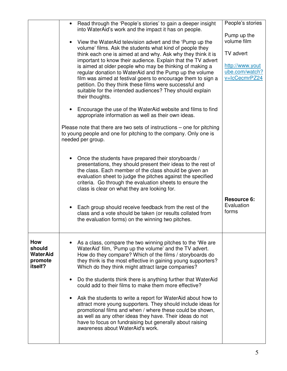|                                                               | • Read through the 'People's stories' to gain a deeper insight<br>into WaterAid's work and the impact it has on people.                                                                                                                                                                                                                                                                                                                                                                                                                                                                                                                                                                                                               | People's stories                                                                              |
|---------------------------------------------------------------|---------------------------------------------------------------------------------------------------------------------------------------------------------------------------------------------------------------------------------------------------------------------------------------------------------------------------------------------------------------------------------------------------------------------------------------------------------------------------------------------------------------------------------------------------------------------------------------------------------------------------------------------------------------------------------------------------------------------------------------|-----------------------------------------------------------------------------------------------|
|                                                               | View the WaterAid television advert and the 'Pump up the<br>$\bullet$<br>volume' films. Ask the students what kind of people they<br>think each one is aimed at and why. Ask why they think it is<br>important to know their audience. Explain that the TV advert<br>is aimed at older people who may be thinking of making a<br>regular donation to WaterAid and the Pump up the volume<br>film was aimed at festival goers to encourage them to sign a<br>petition. Do they think these films were successful and<br>suitable for the intended audiences? They should explain<br>their thoughts.<br>Encourage the use of the WaterAid website and films to find<br>$\bullet$<br>appropriate information as well as their own ideas. | Pump up the<br>volume film<br>TV advert<br>http://www.yout<br>ube.com/watch?<br>v=IcCecmrPZ24 |
|                                                               | Please note that there are two sets of instructions $-$ one for pitching<br>to young people and one for pitching to the company. Only one is<br>needed per group.                                                                                                                                                                                                                                                                                                                                                                                                                                                                                                                                                                     |                                                                                               |
|                                                               | Once the students have prepared their storyboards /<br>$\bullet$<br>presentations, they should present their ideas to the rest of<br>the class. Each member of the class should be given an<br>evaluation sheet to judge the pitches against the specified<br>criteria. Go through the evaluation sheets to ensure the<br>class is clear on what they are looking for.                                                                                                                                                                                                                                                                                                                                                                |                                                                                               |
|                                                               | Each group should receive feedback from the rest of the<br>class and a vote should be taken (or results collated from<br>the evaluation forms) on the winning two pitches.                                                                                                                                                                                                                                                                                                                                                                                                                                                                                                                                                            | Resource 6:<br>Evaluation<br>forms                                                            |
| <b>How</b><br>should<br><b>WaterAid</b><br>promote<br>itself? | As a class, compare the two winning pitches to the 'We are<br>WaterAid' film, 'Pump up the volume' and the TV advert.<br>How do they compare? Which of the films / storyboards do<br>they think is the most effective in gaining young supporters?<br>Which do they think might attract large companies?                                                                                                                                                                                                                                                                                                                                                                                                                              |                                                                                               |
|                                                               | Do the students think there is anything further that WaterAid<br>$\bullet$<br>could add to their films to make them more effective?                                                                                                                                                                                                                                                                                                                                                                                                                                                                                                                                                                                                   |                                                                                               |
|                                                               | Ask the students to write a report for WaterAid about how to<br>٠<br>attract more young supporters. They should include ideas for<br>promotional films and when / where these could be shown,<br>as well as any other ideas they have. Their ideas do not<br>have to focus on fundraising but generally about raising<br>awareness about WaterAid's work.                                                                                                                                                                                                                                                                                                                                                                             |                                                                                               |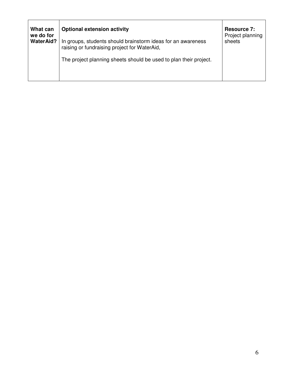| What can<br>we do for<br><b>WaterAid?</b> | <b>Optional extension activity</b><br>In groups, students should brainstorm ideas for an awareness<br>raising or fundraising project for WaterAid,<br>The project planning sheets should be used to plan their project. | <b>Resource 7:</b><br>Project planning<br>sheets |
|-------------------------------------------|-------------------------------------------------------------------------------------------------------------------------------------------------------------------------------------------------------------------------|--------------------------------------------------|
|-------------------------------------------|-------------------------------------------------------------------------------------------------------------------------------------------------------------------------------------------------------------------------|--------------------------------------------------|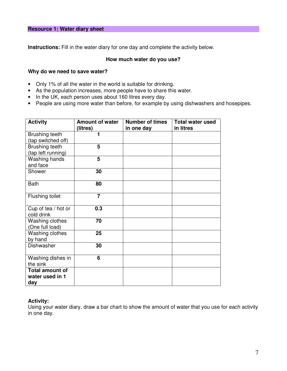## **Resource 1: Water diary sheet**

**Instructions:** Fill in the water diary for one day and complete the activity below.

# **How much water do you use?**

## **Why do we need to save water?**

- Only 1% of all the water in the world is suitable for drinking.
- As the population increases, more people have to share this water.
- In the UK, each person uses about 160 litres every day.
- People are using more water than before, for example by using dishwashers and hosepipes.

| <b>Activity</b>                                  | <b>Amount of water</b><br>(litres) | <b>Number of times</b><br>in one day | <b>Total water used</b><br>in litres |
|--------------------------------------------------|------------------------------------|--------------------------------------|--------------------------------------|
| Brushing teeth<br>(tap switched off)             | 1                                  |                                      |                                      |
| Brushing teeth<br>(tap left running)             | 5                                  |                                      |                                      |
| Washing hands<br>and face                        | 5                                  |                                      |                                      |
| Shower                                           | 30                                 |                                      |                                      |
| <b>Bath</b>                                      | 80                                 |                                      |                                      |
| Flushing toilet                                  | $\overline{\mathbf{7}}$            |                                      |                                      |
| Cup of tea / hot or<br>cold drink                | 0.3                                |                                      |                                      |
| Washing clothes<br>(One full load)               | 70                                 |                                      |                                      |
| Washing clothes<br>by hand                       | 25                                 |                                      |                                      |
| <b>Dishwasher</b>                                | 30                                 |                                      |                                      |
| Washing dishes in<br>the sink                    | 6                                  |                                      |                                      |
| <b>Total amount of</b><br>water used in 1<br>day |                                    |                                      |                                      |

# **Activity:**

Using your water diary, draw a bar chart to show the amount of water that you use for each activity in one day.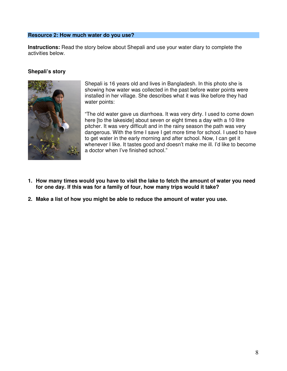## **Resource 2: How much water do you use?**

**Instructions:** Read the story below about Shepali and use your water diary to complete the activities below.

# **Shepali's story**



Shepali is 16 years old and lives in Bangladesh. In this photo she is showing how water was collected in the past before water points were installed in her village. She describes what it was like before they had water points:

"The old water gave us diarrhoea. It was very dirty. I used to come down here [to the lakeside] about seven or eight times a day with a 10 litre pitcher. It was very difficult and in the rainy season the path was very dangerous. With the time I save I get more time for school. I used to have to get water in the early morning and after school. Now, I can get it whenever I like. It tastes good and doesn't make me ill. I'd like to become a doctor when I've finished school."

- **1. How many times would you have to visit the lake to fetch the amount of water you need for one day. If this was for a family of four, how many trips would it take?**
- **2. Make a list of how you might be able to reduce the amount of water you use.**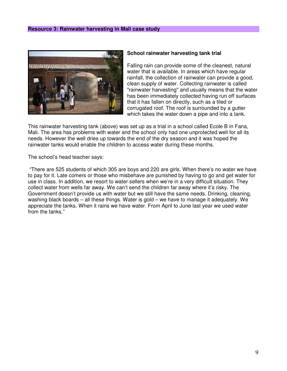

### **School rainwater harvesting tank trial**

Falling rain can provide some of the cleanest, natural water that is available. In areas which have regular rainfall, the collection of rainwater can provide a good, clean supply of water. Collecting rainwater is called "rainwater harvesting" and usually means that the water has been immediately collected having run off surfaces that it has fallen on directly, such as a tiled or corrugated roof. The roof is surrounded by a gutter which takes the water down a pipe and into a tank.

This rainwater harvesting tank (above) was set up as a trial in a school called Ecole B in Fana, Mali. The area has problems with water and the school only had one unprotected well for all its needs. However the well dries up towards the end of the dry season and it was hoped the rainwater tanks would enable the children to access water during these months.

The school's head teacher says:

"There are 525 students of which 305 are boys and 220 are girls. When there's no water we have to pay for it. Late comers or those who misbehave are punished by having to go and get water for use in class. In addition, we resort to water sellers when we're in a very difficult situation. They collect water from wells far away. We can't send the children far away where it's risky. The Government doesn't provide us with water but we still have the same needs. Drinking, cleaning, washing black boards – all these things. Water is gold – we have to manage it adequately. We appreciate the tanks. When it rains we have water. From April to June last year we used water from the tanks."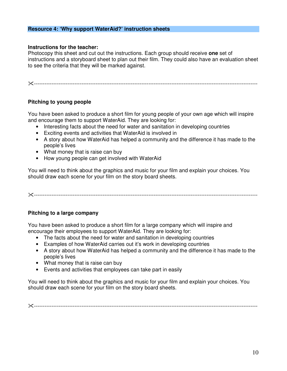# **Resource 4: 'Why support WaterAid?' instruction sheets**

## **Instructions for the teacher:**

Photocopy this sheet and cut out the instructions. Each group should receive **one** set of instructions and a storyboard sheet to plan out their film. They could also have an evaluation sheet to see the criteria that they will be marked against.

--------------------------------------------------------------------------------------------------------------------------------

# **Pitching to young people**

You have been asked to produce a short film for young people of your own age which will inspire and encourage them to support WaterAid. They are looking for:

- Interesting facts about the need for water and sanitation in developing countries
- Exciting events and activities that WaterAid is involved in
- A story about how WaterAid has helped a community and the difference it has made to the people's lives
- What money that is raise can buy
- How young people can get involved with WaterAid

You will need to think about the graphics and music for your film and explain your choices. You should draw each scene for your film on the story board sheets.

--------------------------------------------------------------------------------------------------------------------------------

# **Pitching to a large company**

You have been asked to produce a short film for a large company which will inspire and encourage their employees to support WaterAid. They are looking for:

- The facts about the need for water and sanitation in developing countries
- Examples of how WaterAid carries out it's work in developing countries
- A story about how WaterAid has helped a community and the difference it has made to the people's lives
- What money that is raise can buy
- Events and activities that employees can take part in easily

You will need to think about the graphics and music for your film and explain your choices. You should draw each scene for your film on the story board sheets.

--------------------------------------------------------------------------------------------------------------------------------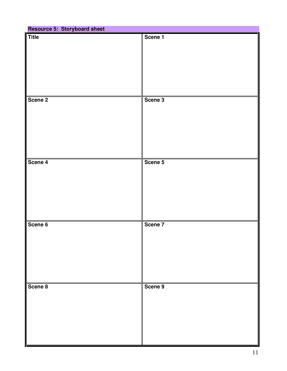| <b>Resource 5: Storyboard sheet</b> |         |  |  |  |  |
|-------------------------------------|---------|--|--|--|--|
| <b>Title</b>                        | Scene 1 |  |  |  |  |
|                                     |         |  |  |  |  |
|                                     |         |  |  |  |  |
|                                     |         |  |  |  |  |
|                                     |         |  |  |  |  |
|                                     |         |  |  |  |  |
|                                     |         |  |  |  |  |
|                                     |         |  |  |  |  |
|                                     |         |  |  |  |  |
| Scene 2                             | Scene 3 |  |  |  |  |
|                                     |         |  |  |  |  |
|                                     |         |  |  |  |  |
|                                     |         |  |  |  |  |
|                                     |         |  |  |  |  |
|                                     |         |  |  |  |  |
|                                     |         |  |  |  |  |
|                                     |         |  |  |  |  |
|                                     |         |  |  |  |  |
| Scene 4                             | Scene 5 |  |  |  |  |
|                                     |         |  |  |  |  |
|                                     |         |  |  |  |  |
|                                     |         |  |  |  |  |
|                                     |         |  |  |  |  |
|                                     |         |  |  |  |  |
|                                     |         |  |  |  |  |
|                                     |         |  |  |  |  |
|                                     |         |  |  |  |  |
| Scene 6                             | Scene 7 |  |  |  |  |
|                                     |         |  |  |  |  |
|                                     |         |  |  |  |  |
|                                     |         |  |  |  |  |
|                                     |         |  |  |  |  |
|                                     |         |  |  |  |  |
|                                     |         |  |  |  |  |
|                                     |         |  |  |  |  |
| Scene 8                             |         |  |  |  |  |
|                                     | Scene 9 |  |  |  |  |
|                                     |         |  |  |  |  |
|                                     |         |  |  |  |  |
|                                     |         |  |  |  |  |
|                                     |         |  |  |  |  |
|                                     |         |  |  |  |  |
|                                     |         |  |  |  |  |
|                                     |         |  |  |  |  |
|                                     |         |  |  |  |  |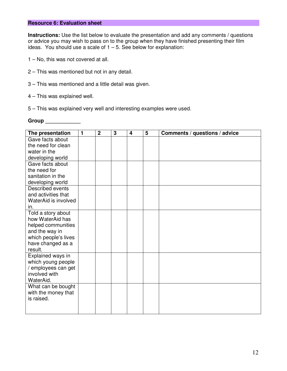## **Resource 6: Evaluation sheet**

**Instructions:** Use the list below to evaluate the presentation and add any comments / questions or advice you may wish to pass on to the group when they have finished presenting their film ideas. You should use a scale of  $1 - 5$ . See below for explanation:

- 1 No, this was not covered at all.
- 2 This was mentioned but not in any detail.
- 3 This was mentioned and a little detail was given.
- 4 This was explained well.
- 5 This was explained very well and interesting examples were used.

#### **Group \_\_\_\_\_\_\_\_\_\_\_\_**

| The presentation                  | $\mathbf{1}$ | $\overline{2}$ | 3 | $\overline{\mathbf{4}}$ | 5 | Comments / questions / advice |
|-----------------------------------|--------------|----------------|---|-------------------------|---|-------------------------------|
| Gave facts about                  |              |                |   |                         |   |                               |
| the need for clean                |              |                |   |                         |   |                               |
| water in the                      |              |                |   |                         |   |                               |
| developing world                  |              |                |   |                         |   |                               |
| Gave facts about                  |              |                |   |                         |   |                               |
| the need for                      |              |                |   |                         |   |                               |
| sanitation in the                 |              |                |   |                         |   |                               |
| developing world                  |              |                |   |                         |   |                               |
| Described events                  |              |                |   |                         |   |                               |
| and activities that               |              |                |   |                         |   |                               |
| WaterAid is involved              |              |                |   |                         |   |                               |
| in.                               |              |                |   |                         |   |                               |
| Told a story about                |              |                |   |                         |   |                               |
| how WaterAid has                  |              |                |   |                         |   |                               |
| helped communities                |              |                |   |                         |   |                               |
| and the way in                    |              |                |   |                         |   |                               |
| which people's lives              |              |                |   |                         |   |                               |
| have changed as a                 |              |                |   |                         |   |                               |
| result.                           |              |                |   |                         |   |                               |
| Explained ways in                 |              |                |   |                         |   |                               |
| which young people                |              |                |   |                         |   |                               |
| / employees can get               |              |                |   |                         |   |                               |
| involved with                     |              |                |   |                         |   |                               |
| WaterAid.                         |              |                |   |                         |   |                               |
| What can be bought                |              |                |   |                         |   |                               |
| with the money that<br>is raised. |              |                |   |                         |   |                               |
|                                   |              |                |   |                         |   |                               |
|                                   |              |                |   |                         |   |                               |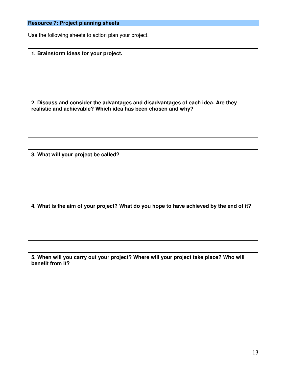## **Resource 7: Project planning sheets**

Use the following sheets to action plan your project.

**1. Brainstorm ideas for your project.**

**2. Discuss and consider the advantages and disadvantages of each idea. Are they realistic and achievable? Which idea has been chosen and why?**

**3. What will your project be called?**

4. What is the aim of your project? What do you hope to have achieved by the end of it?

**5. When will you carry out your project? Where will your project take place? Who will benefit from it?**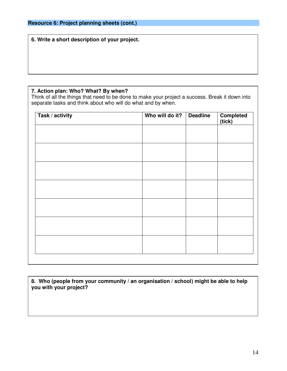**6. Write a short description of your project.**

# **7. Action plan: Who? What? By when?**

Think of all the things that need to be done to make your project a success. Break it down into separate tasks and think about who will do what and by when.

| Task / activity | Who will do it? | <b>Deadline</b> | <b>Completed</b><br>(tick) |
|-----------------|-----------------|-----------------|----------------------------|
|                 |                 |                 |                            |
|                 |                 |                 |                            |
|                 |                 |                 |                            |
|                 |                 |                 |                            |
|                 |                 |                 |                            |
|                 |                 |                 |                            |
|                 |                 |                 |                            |
|                 |                 |                 |                            |
|                 |                 |                 |                            |
|                 |                 |                 |                            |

**8. Who (people from your community / an organisation / school) might be able to help you with your project?**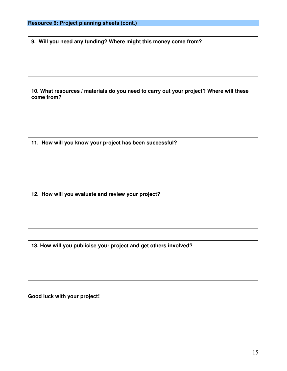**9. Will you need any funding? Where might this money come from?**

**10. What resources / materials do you need to carry out your project? Where will these come from?**

**11. How will you know your project has been successful?**

**12. How will you evaluate and review your project?**

**13. How will you publicise your project and get others involved?**

**Good luck with your project!**